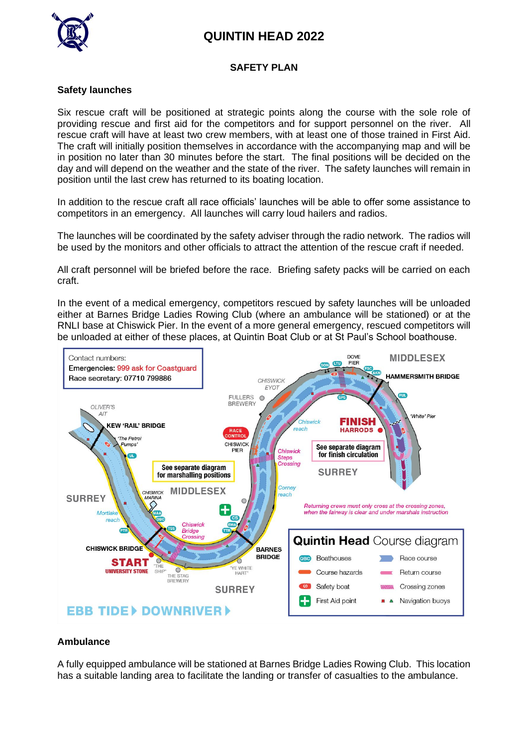# **QUINTIN HEAD 2022**



#### **SAFETY PLAN**

#### **Safety launches**

Six rescue craft will be positioned at strategic points along the course with the sole role of providing rescue and first aid for the competitors and for support personnel on the river. All rescue craft will have at least two crew members, with at least one of those trained in First Aid. The craft will initially position themselves in accordance with the accompanying map and will be in position no later than 30 minutes before the start. The final positions will be decided on the day and will depend on the weather and the state of the river. The safety launches will remain in position until the last crew has returned to its boating location.

In addition to the rescue craft all race officials' launches will be able to offer some assistance to competitors in an emergency. All launches will carry loud hailers and radios.

The launches will be coordinated by the safety adviser through the radio network. The radios will be used by the monitors and other officials to attract the attention of the rescue craft if needed.

All craft personnel will be briefed before the race. Briefing safety packs will be carried on each craft.

In the event of a medical emergency, competitors rescued by safety launches will be unloaded either at Barnes Bridge Ladies Rowing Club (where an ambulance will be stationed) or at the RNLI base at Chiswick Pier. In the event of a more general emergency, rescued competitors will be unloaded at either of these places, at Quintin Boat Club or at St Paul's School boathouse.



#### **Ambulance**

A fully equipped ambulance will be stationed at Barnes Bridge Ladies Rowing Club. This location has a suitable landing area to facilitate the landing or transfer of casualties to the ambulance.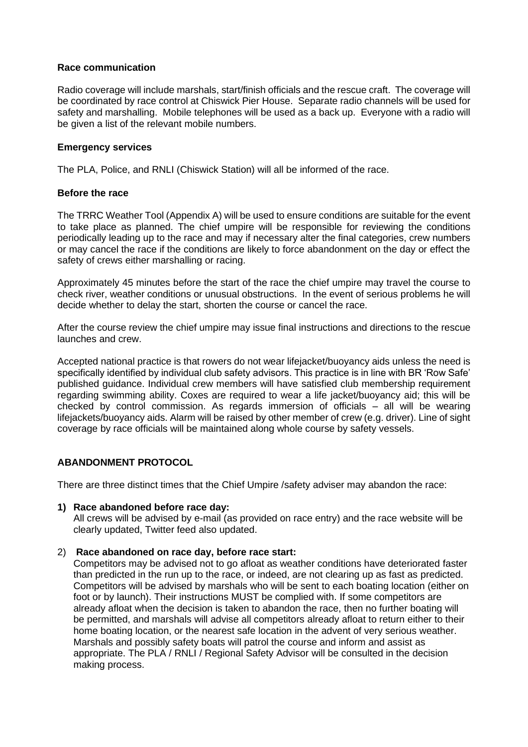#### **Race communication**

Radio coverage will include marshals, start/finish officials and the rescue craft. The coverage will be coordinated by race control at Chiswick Pier House. Separate radio channels will be used for safety and marshalling. Mobile telephones will be used as a back up. Everyone with a radio will be given a list of the relevant mobile numbers.

#### **Emergency services**

The PLA, Police, and RNLI (Chiswick Station) will all be informed of the race.

#### **Before the race**

The TRRC Weather Tool (Appendix A) will be used to ensure conditions are suitable for the event to take place as planned. The chief umpire will be responsible for reviewing the conditions periodically leading up to the race and may if necessary alter the final categories, crew numbers or may cancel the race if the conditions are likely to force abandonment on the day or effect the safety of crews either marshalling or racing.

Approximately 45 minutes before the start of the race the chief umpire may travel the course to check river, weather conditions or unusual obstructions. In the event of serious problems he will decide whether to delay the start, shorten the course or cancel the race.

After the course review the chief umpire may issue final instructions and directions to the rescue launches and crew.

Accepted national practice is that rowers do not wear lifejacket/buoyancy aids unless the need is specifically identified by individual club safety advisors. This practice is in line with BR 'Row Safe' published guidance. Individual crew members will have satisfied club membership requirement regarding swimming ability. Coxes are required to wear a life jacket/buoyancy aid; this will be checked by control commission. As regards immersion of officials – all will be wearing lifejackets/buoyancy aids. Alarm will be raised by other member of crew (e.g. driver). Line of sight coverage by race officials will be maintained along whole course by safety vessels.

# **ABANDONMENT PROTOCOL**

There are three distinct times that the Chief Umpire /safety adviser may abandon the race:

#### **1) Race abandoned before race day:**

All crews will be advised by e-mail (as provided on race entry) and the race website will be clearly updated, Twitter feed also updated.

# 2) **Race abandoned on race day, before race start:**

Competitors may be advised not to go afloat as weather conditions have deteriorated faster than predicted in the run up to the race, or indeed, are not clearing up as fast as predicted. Competitors will be advised by marshals who will be sent to each boating location (either on foot or by launch). Their instructions MUST be complied with. If some competitors are already afloat when the decision is taken to abandon the race, then no further boating will be permitted, and marshals will advise all competitors already afloat to return either to their home boating location, or the nearest safe location in the advent of very serious weather. Marshals and possibly safety boats will patrol the course and inform and assist as appropriate. The PLA / RNLI / Regional Safety Advisor will be consulted in the decision making process.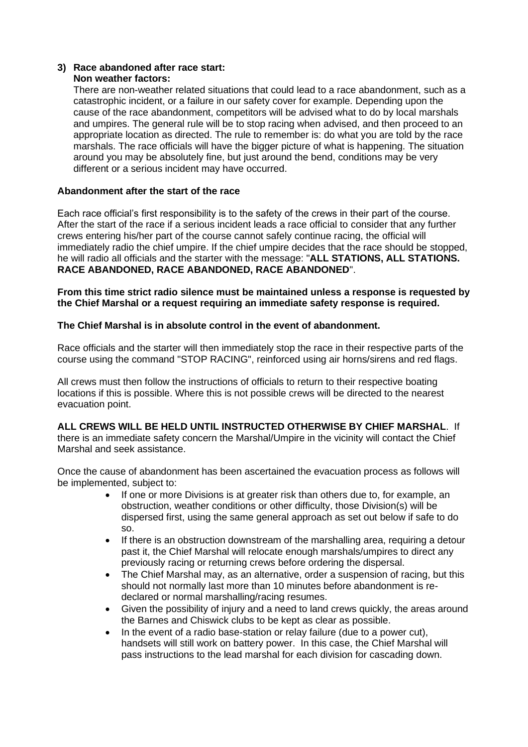#### **3) Race abandoned after race start: Non weather factors:**

There are non-weather related situations that could lead to a race abandonment, such as a catastrophic incident, or a failure in our safety cover for example. Depending upon the cause of the race abandonment, competitors will be advised what to do by local marshals and umpires. The general rule will be to stop racing when advised, and then proceed to an appropriate location as directed. The rule to remember is: do what you are told by the race marshals. The race officials will have the bigger picture of what is happening. The situation around you may be absolutely fine, but just around the bend, conditions may be very different or a serious incident may have occurred.

# **Abandonment after the start of the race**

Each race official's first responsibility is to the safety of the crews in their part of the course. After the start of the race if a serious incident leads a race official to consider that any further crews entering his/her part of the course cannot safely continue racing, the official will immediately radio the chief umpire. If the chief umpire decides that the race should be stopped, he will radio all officials and the starter with the message: "**ALL STATIONS, ALL STATIONS. RACE ABANDONED, RACE ABANDONED, RACE ABANDONED**".

**From this time strict radio silence must be maintained unless a response is requested by the Chief Marshal or a request requiring an immediate safety response is required.**

# **The Chief Marshal is in absolute control in the event of abandonment.**

Race officials and the starter will then immediately stop the race in their respective parts of the course using the command "STOP RACING", reinforced using air horns/sirens and red flags.

All crews must then follow the instructions of officials to return to their respective boating locations if this is possible. Where this is not possible crews will be directed to the nearest evacuation point.

**ALL CREWS WILL BE HELD UNTIL INSTRUCTED OTHERWISE BY CHIEF MARSHAL**. If there is an immediate safety concern the Marshal/Umpire in the vicinity will contact the Chief Marshal and seek assistance.

Once the cause of abandonment has been ascertained the evacuation process as follows will be implemented, subject to:

- If one or more Divisions is at greater risk than others due to, for example, an obstruction, weather conditions or other difficulty, those Division(s) will be dispersed first, using the same general approach as set out below if safe to do so.
- If there is an obstruction downstream of the marshalling area, requiring a detour past it, the Chief Marshal will relocate enough marshals/umpires to direct any previously racing or returning crews before ordering the dispersal.
- The Chief Marshal may, as an alternative, order a suspension of racing, but this should not normally last more than 10 minutes before abandonment is redeclared or normal marshalling/racing resumes.
- Given the possibility of injury and a need to land crews quickly, the areas around the Barnes and Chiswick clubs to be kept as clear as possible.
- In the event of a radio base-station or relay failure (due to a power cut), handsets will still work on battery power. In this case, the Chief Marshal will pass instructions to the lead marshal for each division for cascading down.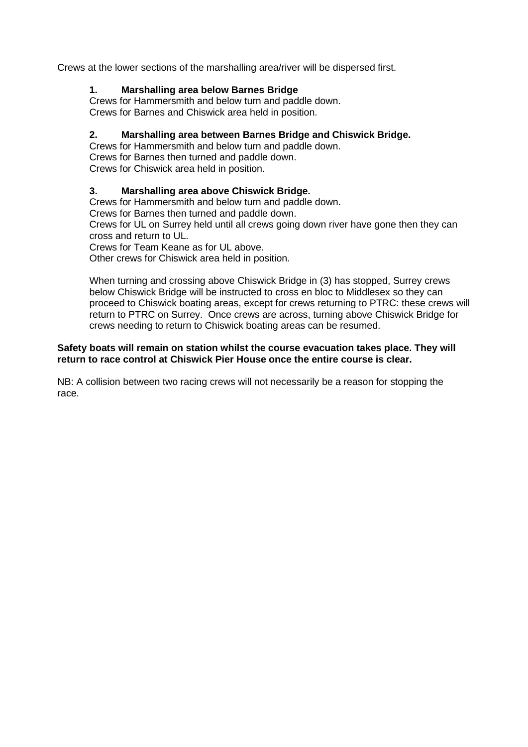Crews at the lower sections of the marshalling area/river will be dispersed first.

# **1. Marshalling area below Barnes Bridge**

Crews for Hammersmith and below turn and paddle down. Crews for Barnes and Chiswick area held in position.

# **2. Marshalling area between Barnes Bridge and Chiswick Bridge.**

Crews for Hammersmith and below turn and paddle down. Crews for Barnes then turned and paddle down. Crews for Chiswick area held in position.

# **3. Marshalling area above Chiswick Bridge.**

Crews for Hammersmith and below turn and paddle down.

Crews for Barnes then turned and paddle down.

Crews for UL on Surrey held until all crews going down river have gone then they can cross and return to UL.

Crews for Team Keane as for UL above.

Other crews for Chiswick area held in position.

When turning and crossing above Chiswick Bridge in (3) has stopped, Surrey crews below Chiswick Bridge will be instructed to cross en bloc to Middlesex so they can proceed to Chiswick boating areas, except for crews returning to PTRC: these crews will return to PTRC on Surrey. Once crews are across, turning above Chiswick Bridge for crews needing to return to Chiswick boating areas can be resumed.

# **Safety boats will remain on station whilst the course evacuation takes place. They will return to race control at Chiswick Pier House once the entire course is clear.**

NB: A collision between two racing crews will not necessarily be a reason for stopping the race.